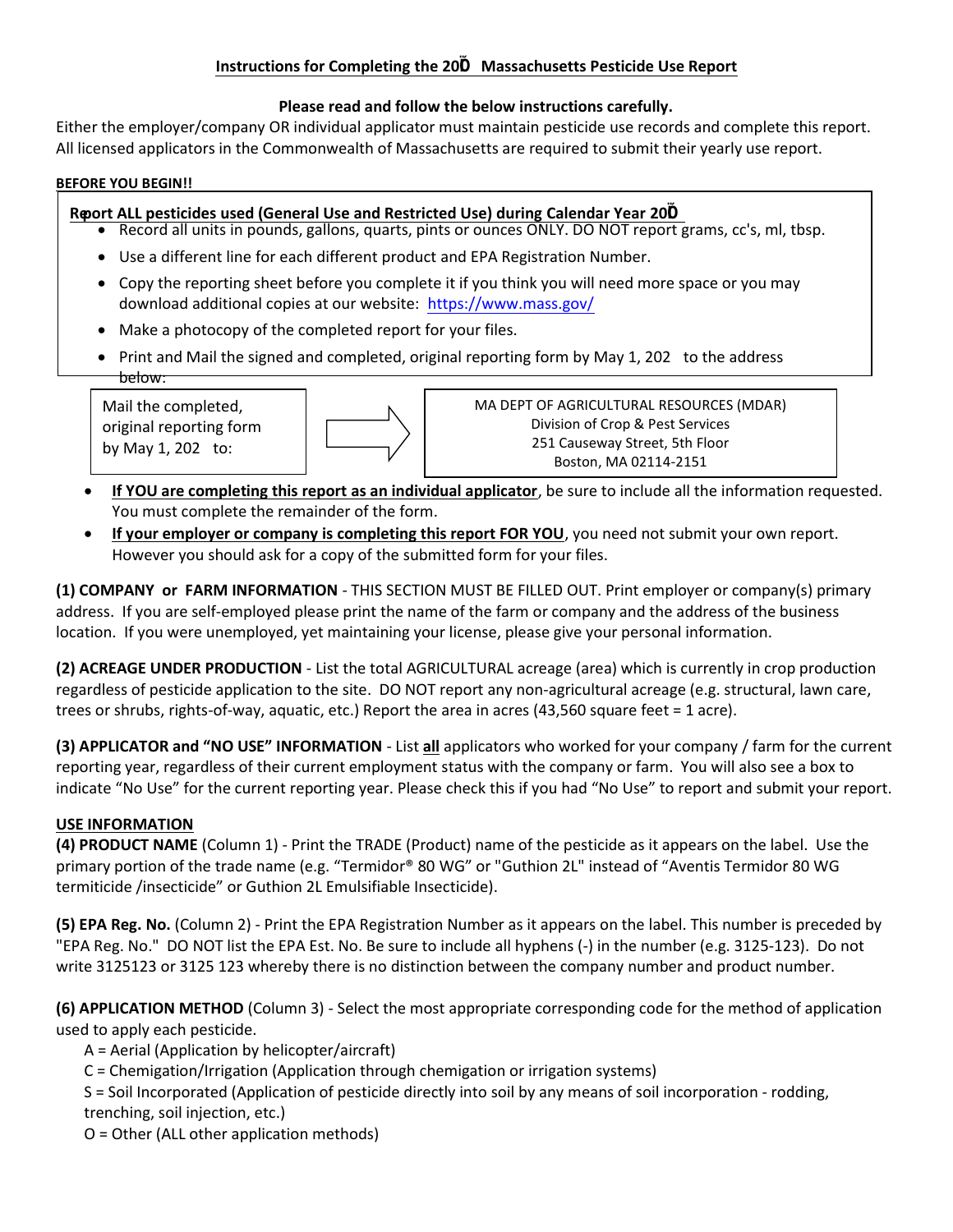## Instructions for Completing the 2020 Massachusetts Pesticide Use Report

## Please read and follow the below instructions carefully.

Either the employer/company OR individual applicator must maintain pesticide use records and complete this report. All licensed applicators in the Commonwealth of Massachusetts are required to submit their yearly use report.

## BEFORE YOU BEGIN!!

# Report ALL pesticides used (General Use and Restricted Use) during Calendar Year 2020

- Record all units in pounds, gallons, quarts, pints or ounces ONLY. DO NOT report grams, cc's, ml, tbsp.
- Use a different line for each different product and EPA Registration Number.
- Copy the reporting sheet before you complete it if you think you will need more space or you may download additional copies at our website: https://www.mass.gov/
- Make a photocopy of the completed report for your files.
- Print and Mail the signed and completed, original reporting form by May 1, 2021 to the address below:

Mail the completed, original reporting form by May 1, 2021 to:



MA DEPT OF AGRICULTURAL RESOURCES (MDAR) Division of Crop & Pest Services 251 Causeway Street, 5th Floor Boston, MA 02114-2151

- If YOU are completing this report as an individual applicator, be sure to include all the information requested. You must complete the remainder of the form.
- If your employer or company is completing this report FOR YOU, you need not submit your own report. However you should ask for a copy of the submitted form for your files.

(1) COMPANY or FARM INFORMATION - THIS SECTION MUST BE FILLED OUT. Print employer or company(s) primary address. If you are self-employed please print the name of the farm or company and the address of the business location. If you were unemployed, yet maintaining your license, please give your personal information.

(2) ACREAGE UNDER PRODUCTION - List the total AGRICULTURAL acreage (area) which is currently in crop production regardless of pesticide application to the site. DO NOT report any non-agricultural acreage (e.g. structural, lawn care, trees or shrubs, rights-of-way, aquatic, etc.) Report the area in acres (43,560 square feet = 1 acre).

(3) APPLICATOR and "NO USE" INFORMATION - List all applicators who worked for your company / farm for the current reporting year, regardless of their current employment status with the company or farm. You will also see a box to indicate "No Use" for the current reporting year. Please check this if you had "No Use" to report and submit your report.

# USE INFORMATION

(4) PRODUCT NAME (Column 1) - Print the TRADE (Product) name of the pesticide as it appears on the label. Use the primary portion of the trade name (e.g. "Termidor® 80 WG" or "Guthion 2L" instead of "Aventis Termidor 80 WG termiticide /insecticide" or Guthion 2L Emulsifiable Insecticide).

(5) EPA Reg. No. (Column 2) - Print the EPA Registration Number as it appears on the label. This number is preceded by "EPA Reg. No." DO NOT list the EPA Est. No. Be sure to include all hyphens (-) in the number (e.g. 3125-123). Do not write 3125123 or 3125 123 whereby there is no distinction between the company number and product number.

(6) APPLICATION METHOD (Column 3) - Select the most appropriate corresponding code for the method of application used to apply each pesticide.

A = Aerial (Application by helicopter/aircraft)

C = Chemigation/Irrigation (Application through chemigation or irrigation systems)

S = Soil Incorporated (Application of pesticide directly into soil by any means of soil incorporation - rodding, trenching, soil injection, etc.)

O = Other (ALL other application methods)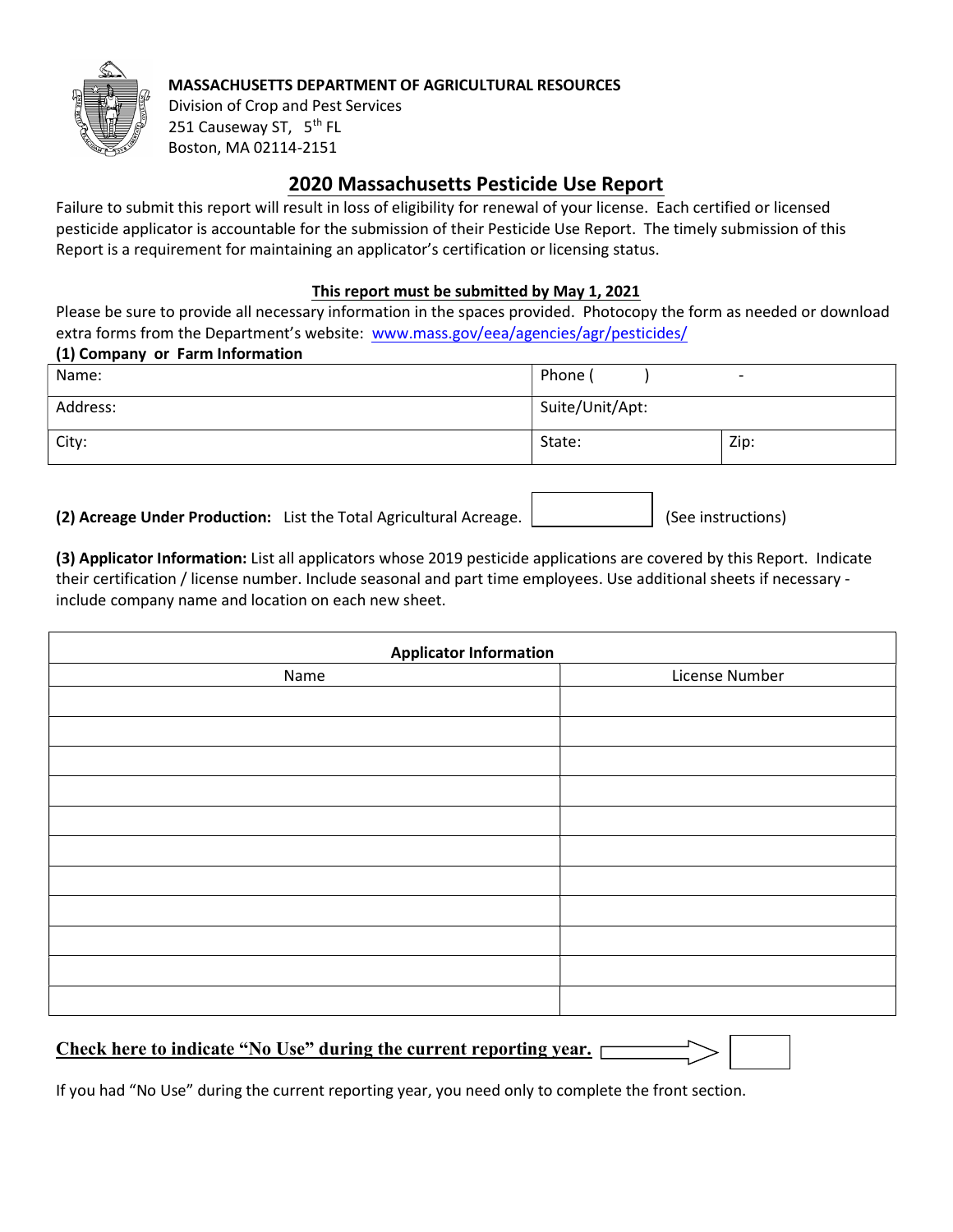

## MASSACHUSETTS DEPARTMENT OF AGRICULTURAL RESOURCES

Division of Crop and Pest Services 251 Causeway ST, 5<sup>th</sup> FL Boston, MA 02114-2151

# 20**20** Massachusetts Pesticide Use Report

Failure to submit this report will result in loss of eligibility for renewal of your license. Each certified or licensed pesticide applicator is accountable for the submission of their Pesticide Use Report. The timely submission of this Report is a requirement for maintaining an applicator's certification or licensing status.

## This report must be submitted by May 1, 202**1**

Please be sure to provide all necessary information in the spaces provided. Photocopy the form as needed or download extra forms from the Department's website: www.mass.gov/eea/agencies/agr/pesticides/ (1) Company or Farm Information

| $(1)$ company or rannimonation |                 |                          |
|--------------------------------|-----------------|--------------------------|
| Name:                          | Phone (         | $\overline{\phantom{0}}$ |
| Address:                       | Suite/Unit/Apt: |                          |
| City:                          | State:          | Zip:                     |

(2) Acreage Under Production: List the Total Agricultural Acreage.  $\vert$  (See instructions)

(3) Applicator Information: List all applicators whose 2019 pesticide applications are covered by this Report. Indicate their certification / license number. Include seasonal and part time employees. Use additional sheets if necessary include company name and location on each new sheet.

| <b>Applicator Information</b> |                |  |  |
|-------------------------------|----------------|--|--|
| Name                          | License Number |  |  |
|                               |                |  |  |
|                               |                |  |  |
|                               |                |  |  |
|                               |                |  |  |
|                               |                |  |  |
|                               |                |  |  |
|                               |                |  |  |
|                               |                |  |  |
|                               |                |  |  |
|                               |                |  |  |
|                               |                |  |  |

# Check here to indicate "No Use" during the current reporting year.

If you had "No Use" during the current reporting year, you need only to complete the front section.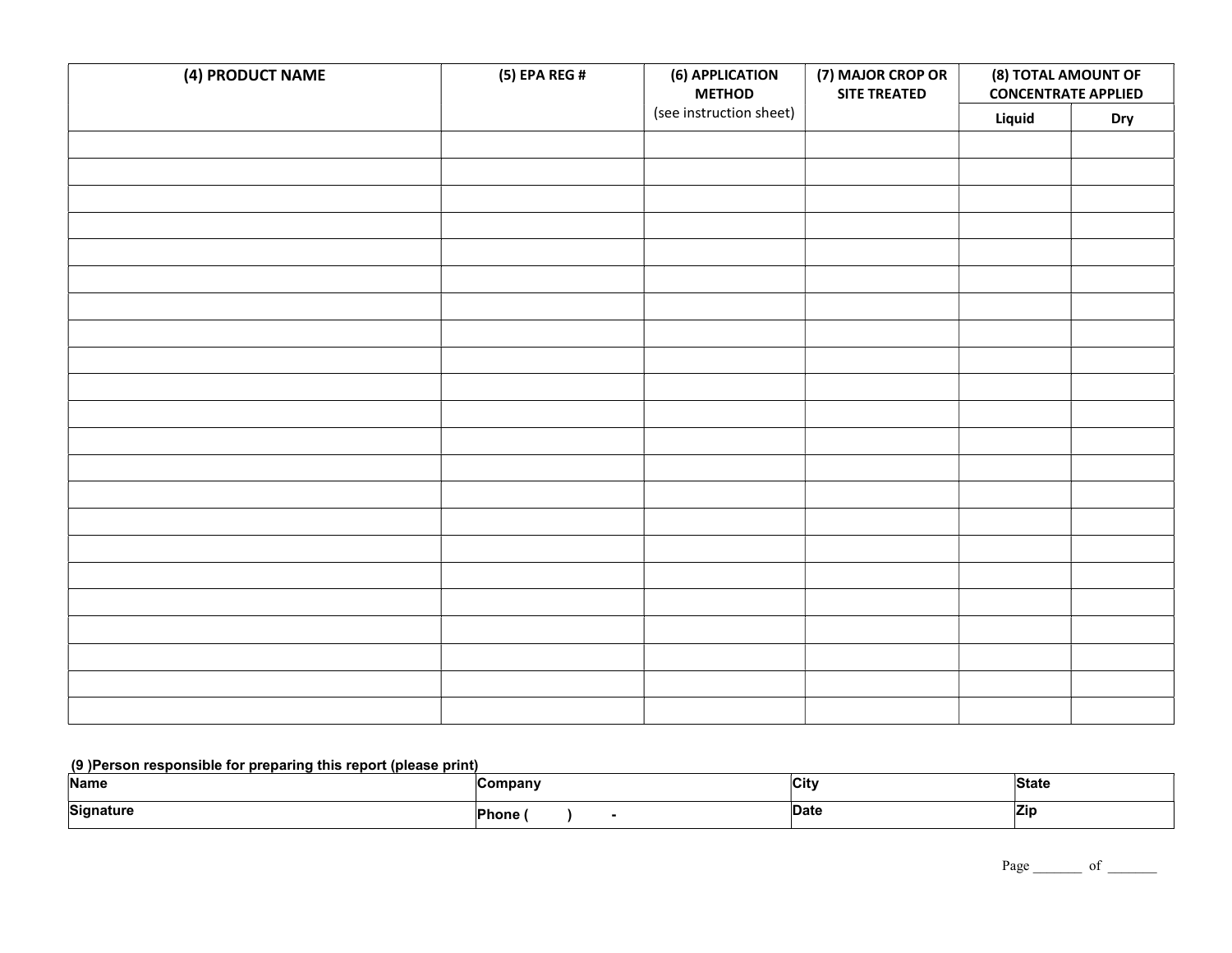| (4) PRODUCT NAME | (5) EPA REG # | (6) APPLICATION<br><b>METHOD</b> | (7) MAJOR CROP OR<br><b>SITE TREATED</b> | (8) TOTAL AMOUNT OF<br><b>CONCENTRATE APPLIED</b> |            |
|------------------|---------------|----------------------------------|------------------------------------------|---------------------------------------------------|------------|
|                  |               | (see instruction sheet)          |                                          | Liquid                                            | <b>Dry</b> |
|                  |               |                                  |                                          |                                                   |            |
|                  |               |                                  |                                          |                                                   |            |
|                  |               |                                  |                                          |                                                   |            |
|                  |               |                                  |                                          |                                                   |            |
|                  |               |                                  |                                          |                                                   |            |
|                  |               |                                  |                                          |                                                   |            |
|                  |               |                                  |                                          |                                                   |            |
|                  |               |                                  |                                          |                                                   |            |
|                  |               |                                  |                                          |                                                   |            |
|                  |               |                                  |                                          |                                                   |            |
|                  |               |                                  |                                          |                                                   |            |
|                  |               |                                  |                                          |                                                   |            |
|                  |               |                                  |                                          |                                                   |            |
|                  |               |                                  |                                          |                                                   |            |
|                  |               |                                  |                                          |                                                   |            |
|                  |               |                                  |                                          |                                                   |            |
|                  |               |                                  |                                          |                                                   |            |
|                  |               |                                  |                                          |                                                   |            |
|                  |               |                                  |                                          |                                                   |            |
|                  |               |                                  |                                          |                                                   |            |
|                  |               |                                  |                                          |                                                   |            |
|                  |               |                                  |                                          |                                                   |            |

## (9 )Person responsible for preparing this report (please print)

| Name      | ompany     | ∣Cit        | State |
|-----------|------------|-------------|-------|
| Signature | --<br>hone | <b>Date</b> | ∠ır   |